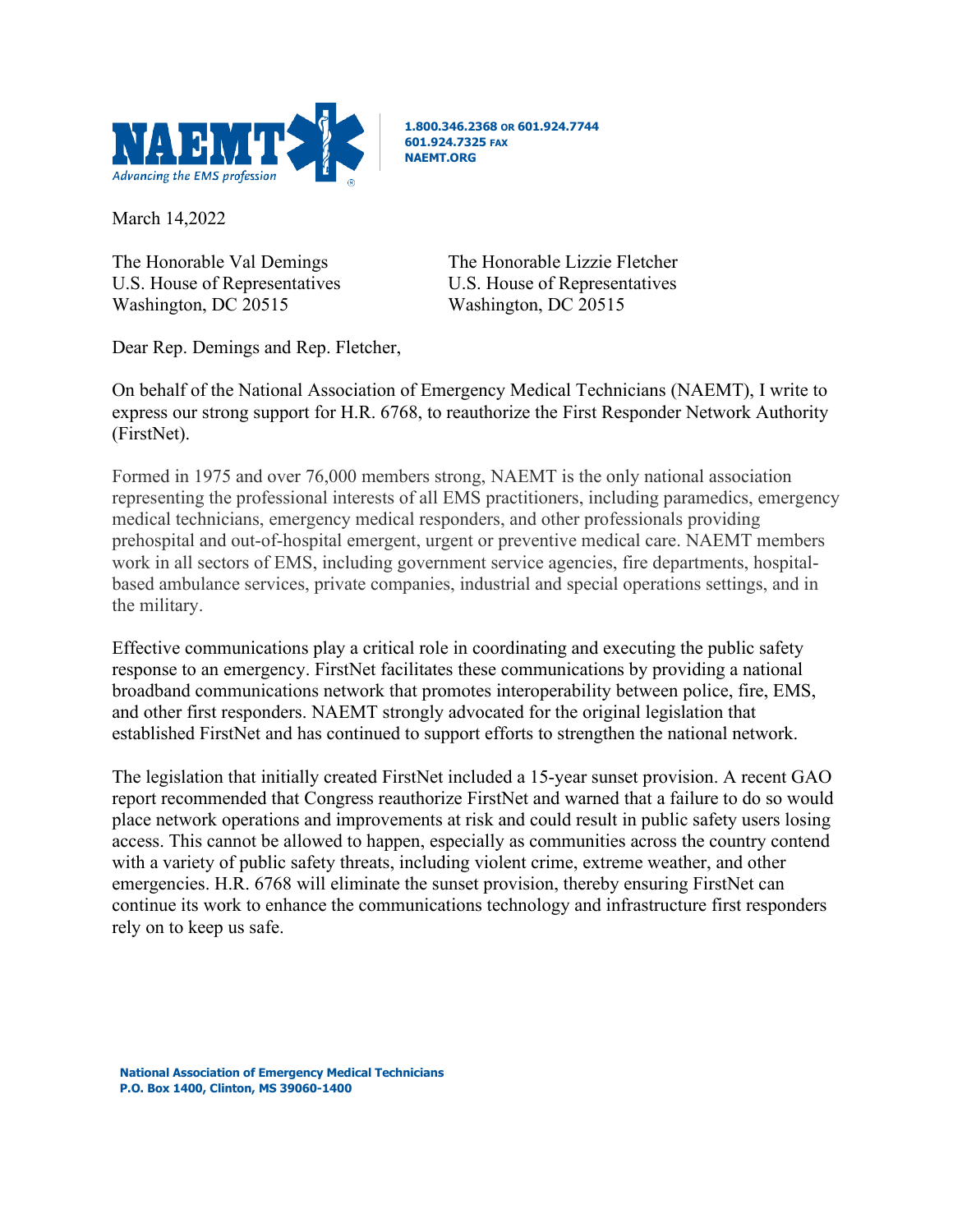

**1.800.346.2368 OR 601.924.7744 601.924.7325 FAX NAEMT.ORG**

March 14,2022

U.S. House of Representatives U.S. House of Representatives Washington, DC 20515 Washington, DC 20515

The Honorable Val Demings The Honorable Lizzie Fletcher

Dear Rep. Demings and Rep. Fletcher,

On behalf of the National Association of Emergency Medical Technicians (NAEMT), I write to express our strong support for H.R. 6768, to reauthorize the First Responder Network Authority (FirstNet).

Formed in 1975 and over 76,000 members strong, NAEMT is the only national association representing the professional interests of all EMS practitioners, including paramedics, emergency medical technicians, emergency medical responders, and other professionals providing prehospital and out-of-hospital emergent, urgent or preventive medical care. NAEMT members work in all sectors of EMS, including government service agencies, fire departments, hospitalbased ambulance services, private companies, industrial and special operations settings, and in the military.

Effective communications play a critical role in coordinating and executing the public safety response to an emergency. FirstNet facilitates these communications by providing a national broadband communications network that promotes interoperability between police, fire, EMS, and other first responders. NAEMT strongly advocated for the original legislation that established FirstNet and has continued to support efforts to strengthen the national network.

The legislation that initially created FirstNet included a 15-year sunset provision. A recent GAO report recommended that Congress reauthorize FirstNet and warned that a failure to do so would place network operations and improvements at risk and could result in public safety users losing access. This cannot be allowed to happen, especially as communities across the country contend with a variety of public safety threats, including violent crime, extreme weather, and other emergencies. H.R. 6768 will eliminate the sunset provision, thereby ensuring FirstNet can continue its work to enhance the communications technology and infrastructure first responders rely on to keep us safe.